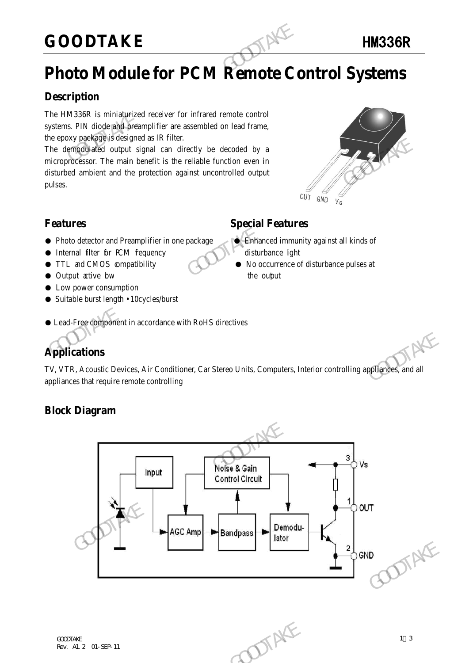### **GOODTAKE** HM336R

### **Photo Module for PCM Remote Control Systems**

### **Description**

The HM336R is miniaturized receiver for infrared remote control systems. PIN diode and preamplifier are assembled on lead frame, the epoxy package is designed as IR filter.

The demodulated output signal can directly be decoded by a microprocessor. The main benefit is the reliable function even in disturbed ambient and the protection against uncontrolled output pulses. GOODTAKE<br>
Photo Module for PCM Remote Connection<br>
The HM336R is miniaturized receiver for infrared remote control<br>
systems. PIN diode and preamplifier are assembled on lead frame,<br>
the epoxy package is designed as IR filte The demographique is ossiglined as in three.<br>
The demographical couput signal can directly be decoded by a<br>
microprocessor. The main benefit is the reliable function even in<br>
disturbed ambient and the protection against un



### **Features Special Features**

- Photo detector and Preamplifier in one package Binhanced immunity against all kinds of
- Internal filter for PCM fequency disturbance light
- TTL and CMOS compatibility No occurrence of disturbance pulses at
- Output active bw the output the output
- Low power consumption
- Suitable burst length 10cycles/burst

#### ● Lead-Free component in accordance with RoHS directives

### **Applications**

TV, VTR, Acoustic Devices, Air Conditioner, Car Stereo Units, Computers, Interior controlling appliances, and all appliances that require remote controlling

#### **Block Diagram**

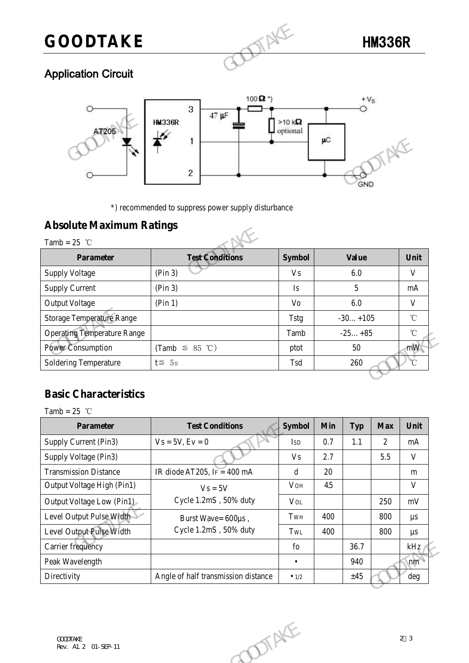## **GOODTAKE** HM336R



### Application Circuit



### **Absolute Maximum Ratings**

|                                    | $\overline{c}$                                      |                | <b>GND</b>   |
|------------------------------------|-----------------------------------------------------|----------------|--------------|
|                                    | *) recommended to suppress power supply disturbance |                |              |
| <b>Absolute Maximum Ratings</b>    |                                                     |                |              |
| Tamb = $25$ °C                     |                                                     |                |              |
| <b>Parameter</b>                   | <b>Test Conditions</b>                              | <b>Symbol</b>  | <b>Value</b> |
| <b>Supply Voltage</b>              | (Pin 3)                                             | <b>Vs</b>      | 6.0          |
| <b>Supply Current</b>              | (Pin 3)                                             | $\mathbf{I}$ s | 5            |
| <b>Output Voltage</b>              | (Pin 1)                                             | Vo             | 6.0          |
| <b>Storage Temperature Range</b>   |                                                     | <b>Tstg</b>    | $-30+105$    |
| <b>Operating Temperature Range</b> |                                                     | Tamb           | $-25+85$     |
|                                    | (Tamb $\leq$ 85 °C)                                 | ptot           | 50           |
| <b>Power Consumption</b>           |                                                     |                |              |

### **Basic Characteristics**

| <b>Power Consumption</b><br>mW<br>(Tamb $\leq$ 85 °C)<br>50<br>ptot<br>$\overline{C}$<br>Soldering Temperature<br>$t \leq 5s$<br>260<br>Tsd<br><b>Basic Characteristics</b><br>Tamb = $25$ °C<br><b>Test Conditions</b><br><b>Symbol</b><br><b>Parameter</b><br><b>Min</b><br><b>Typ</b><br><b>Max</b><br>Unit<br>Supply Current (Pin3)<br>$Vs = 5V, Ev = 0$<br>0.7<br>1.1<br>$\overline{2}$<br>Isd<br>mA<br>Supply Voltage (Pin3)<br>2.7<br>5.5<br>$\mathbf{V}$<br><b>Vs</b><br>IR diode AT205, IF = 400 mA<br><b>Transmission Distance</b><br>$\mathbf d$<br>20<br>m<br>Output Voltage High (Pin1)<br>V<br>VOH<br>4.5 |
|-------------------------------------------------------------------------------------------------------------------------------------------------------------------------------------------------------------------------------------------------------------------------------------------------------------------------------------------------------------------------------------------------------------------------------------------------------------------------------------------------------------------------------------------------------------------------------------------------------------------------|
|                                                                                                                                                                                                                                                                                                                                                                                                                                                                                                                                                                                                                         |
|                                                                                                                                                                                                                                                                                                                                                                                                                                                                                                                                                                                                                         |
|                                                                                                                                                                                                                                                                                                                                                                                                                                                                                                                                                                                                                         |
|                                                                                                                                                                                                                                                                                                                                                                                                                                                                                                                                                                                                                         |
|                                                                                                                                                                                                                                                                                                                                                                                                                                                                                                                                                                                                                         |
|                                                                                                                                                                                                                                                                                                                                                                                                                                                                                                                                                                                                                         |
|                                                                                                                                                                                                                                                                                                                                                                                                                                                                                                                                                                                                                         |
|                                                                                                                                                                                                                                                                                                                                                                                                                                                                                                                                                                                                                         |
|                                                                                                                                                                                                                                                                                                                                                                                                                                                                                                                                                                                                                         |
| $V_s = 5V$                                                                                                                                                                                                                                                                                                                                                                                                                                                                                                                                                                                                              |
| Cycle 1.2mS, 50% duty<br>Output Voltage Low (Pin1)<br>$V_{OL}$<br>250<br>mV                                                                                                                                                                                                                                                                                                                                                                                                                                                                                                                                             |
| Level Output Pulse Width<br>TWH<br>400<br>800<br>$\mu s$<br>Burst Wave= 600µs,                                                                                                                                                                                                                                                                                                                                                                                                                                                                                                                                          |
| Cycle 1.2mS, 50% duty<br>Level Output Pulse Width<br>400<br>TwL<br>800<br>$\mu s$                                                                                                                                                                                                                                                                                                                                                                                                                                                                                                                                       |
| Carrier frequency<br>$f_{0}$<br>36.7<br>$kHz_1$                                                                                                                                                                                                                                                                                                                                                                                                                                                                                                                                                                         |
| Peak Wavelength<br>940<br>nm<br>$\bullet$                                                                                                                                                                                                                                                                                                                                                                                                                                                                                                                                                                               |
| Directivity<br>Angle of half transmission distance<br>±45<br>deg<br>$\bullet$ 1/2                                                                                                                                                                                                                                                                                                                                                                                                                                                                                                                                       |